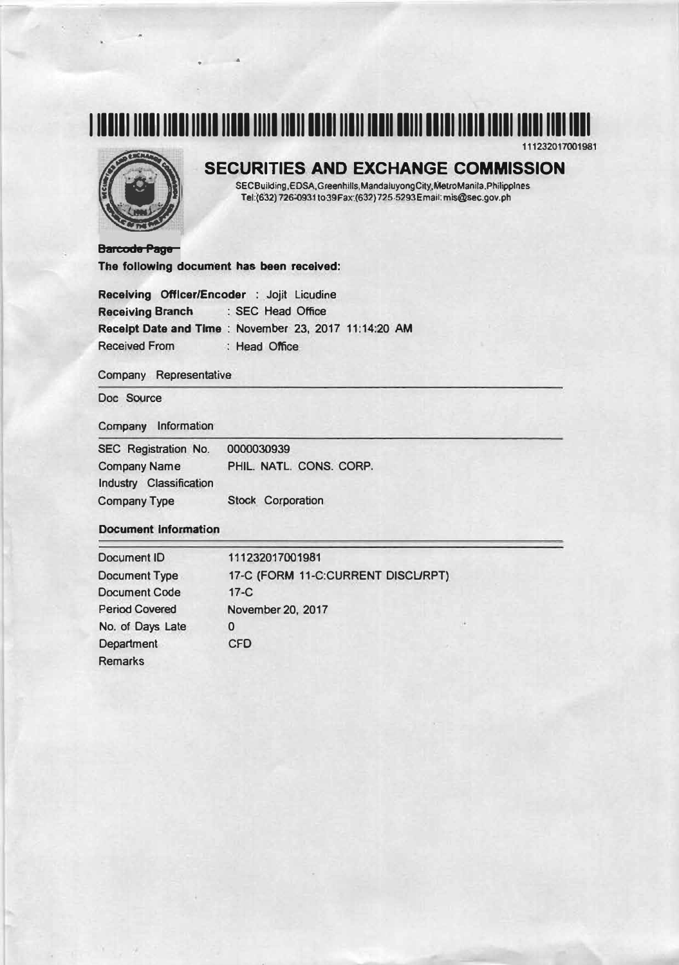# **1 111111 11111 11111111111111111111111111111111111 lllll 1111111111111111111111111 IIII IIII**



## **SECURITIES AND EXCHANGE COMMISSION**

**SECBuilding,EDSA,Greenhills,MandaJuyongCity,MelfoManila,Phlllpplnes Tel:(632) 726-0931 to39Fax:(632) 725-5293Email: mis@\$ec,gov.ph** 

**Barcode Page The following document has been received:** 

• •

**Receiving Officer/Encoder : Jojit Licudine Receiving Branch : SEC Head Office Receipt Date and Time : November 23, 2017 11:14:20 AM Received From : Head Office** 

#### **Company Representative**

**Doc Source** 

#### *Company* **Information**

| <b>SEC Registration No.</b>    | 0000030939               |  |
|--------------------------------|--------------------------|--|
| <b>Company Name</b>            | PHIL. NATL. CONS. CORP.  |  |
| <b>Industry Classification</b> |                          |  |
| <b>Company Type</b>            | <b>Stock Corporation</b> |  |

#### **Document information**

| <b>Document ID</b>    | 111232017001981                   |
|-----------------------|-----------------------------------|
| <b>Document Type</b>  | 17-C (FORM 11-C:CURRENT DISCURPT) |
| <b>Document Code</b>  | $17-C$                            |
| <b>Period Covered</b> | November 20, 2017                 |
| No. of Days Late      | 0                                 |
| <b>Department</b>     | <b>CFD</b>                        |
| <b>Remarks</b>        |                                   |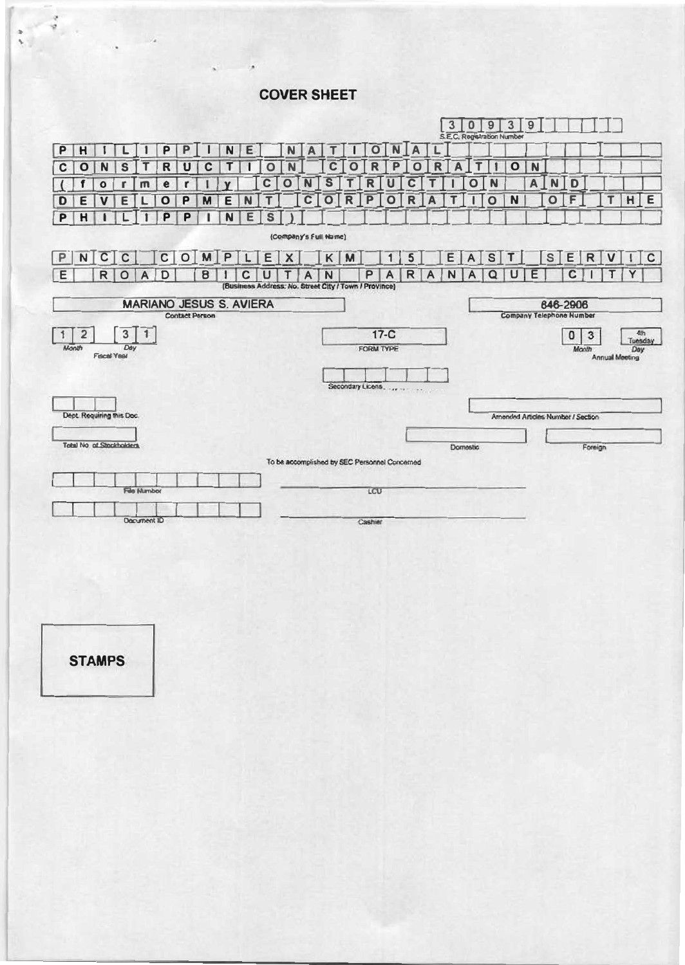**COVERSHEET** 





,.\_ '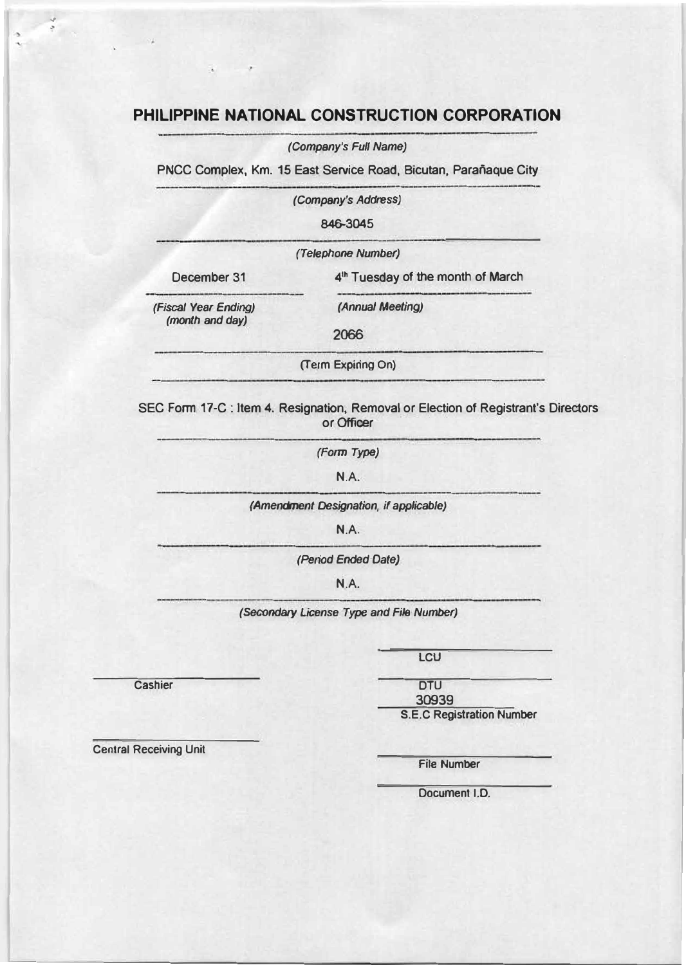## **PHILIPPINE NATIONAL CONSTRUCTION CORPORATION**

*(Company's Full Name)* 

PNCC Complex, Km. 15 East Service Road, Bicutan, Parañaque City

*(Company's Address)* 

**846-3045** 

*(Telephone Number)* 

December 31

.,  $\mathcal{L}$ 

**41n Tuesday of the month of March** 

*(Fiscal Year Ending) (month and day)* 

2066

**(Term Expiring On)** 

**SEC Form 17-C: Item 4. Resignation, Removal or Election of Registrant's Directors or Officer** 

*(Annual Meeting)* 

*(Form Type)* 

N.A.

*(Amendment Designation, if applicable)* 

N.A.

*(Period Ended Date)* 

N.A.

*(Secondary License Type and File Number)* 

**Cashier** 

**LCU** 

OTU **30939** 

**S.E.C Registration Number** 

**Central Receiving Unit** 

**File Number** 

**Document 1.0.**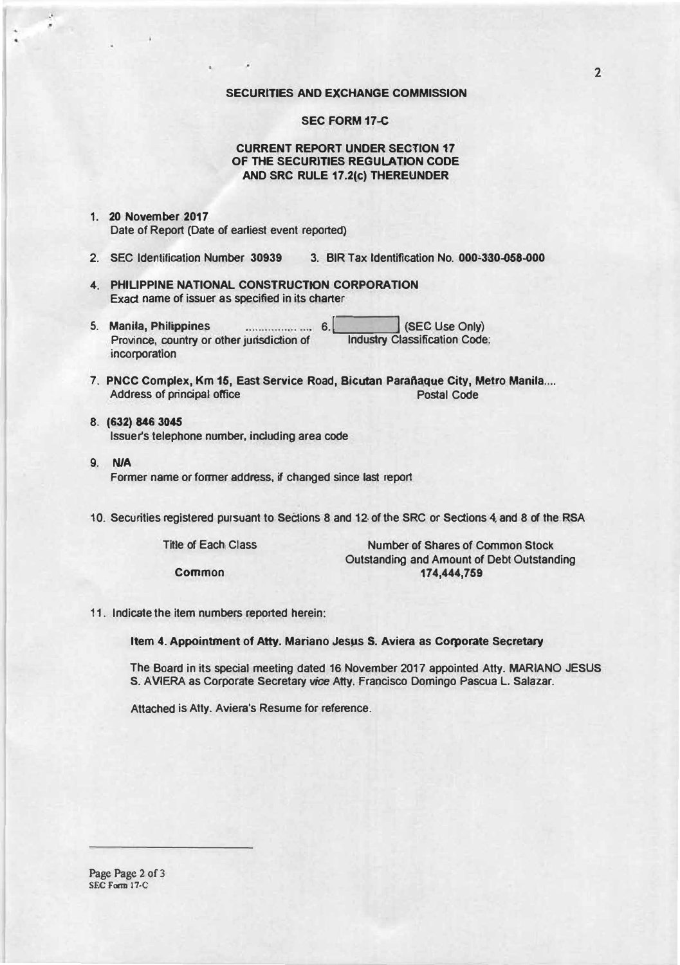#### **SECURITIES AND EXCHANGE COMMISSION**

#### **SEC FORM 17-C**

#### **CURRENT REPORT UNDER SECTION 17 OF THE SECURITIES REGULATION CODE AND SRC RULE 17.2(c) THEREUNDER**

#### **1. 20 November 2017 Date of Report (Date of earliest event reported)**

,

- **2. SEC Identification Number 30939 3. BIR Tax Identification No. 000-330-058--000**
- **4. PHILIPPINE NATIONAL CONSTRUCTION CORPORATION Exact name of issuer as specified in its charter**
- **5. Manila, Philippine.s ................ ,... 6 .** .\_! \_\_\_ **\_\_.! {SEC Use Only) Province, country or other jurisdiction of Industry Classification Code: incorporation**
- **7. PNCC Complex, Km 15, East Service Road, Bicutan Paraftaque City, Metro Manila ....**  Address of principal office **Postal Code**
- **8. (632) 846 30,45 lssuefs telephone number, induding area code**
- **9. NIA** Former name or former address, if changed since last report
- 10. Securities registered pursuant to Sections 8 and 12 of the SRC or Sections 4 and 8 of the RSA

**Title or Each Class** 

**Common** 

**Number of Shares of Common Stock Outstanding and Amount of Debt Outstanding 174,444,759** 

**11. Indicate the item numbers reported herein:**

**Item 4. Appointment of Atty. Mariano Jesµs s. Aviera as Corporate Secretary** 

**The Board in its special meeting dated 16 November 2017 appointed Atty. MARIANO JESUS S. A VIERA as Corporate Secretary** *Vice* **Atty. Francisco Domingo Pascua L. Salazar.**

**Attached is Atty. Aviera's Resume for reference.**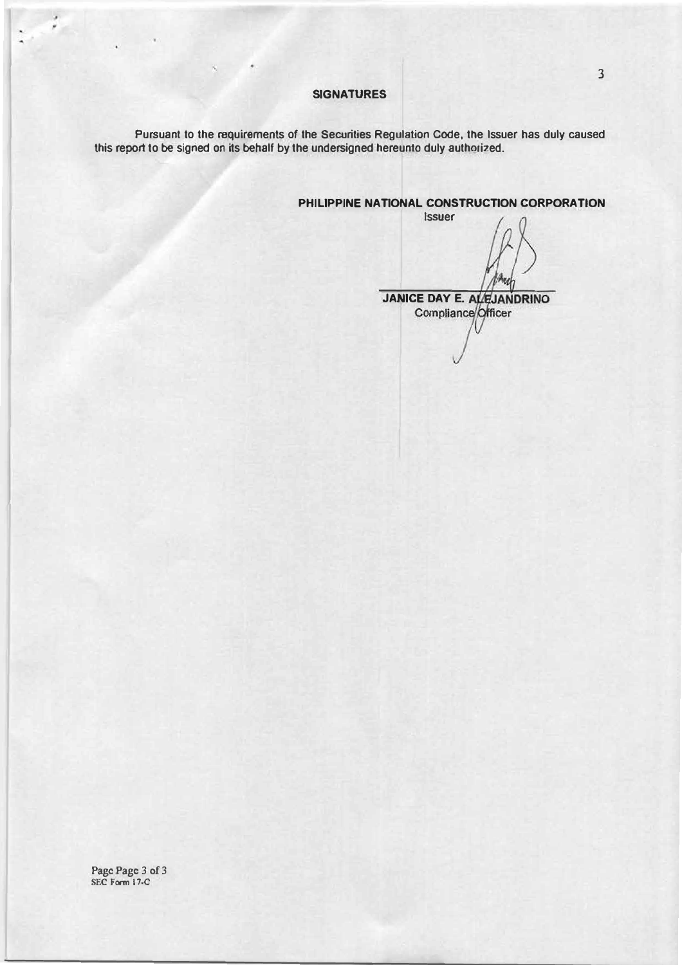#### **SIGNATURES**

**Pursuant to the requirements of the Securities Regulation Code, the Issuer has duly caused this report to be signed on its behalf by the undersigned hereunto duly authorized.** 

**PHILIPPINE NATIONAL CONSTRUCTION CORPORATION** 

**Issuer**  w **JANICE DAY E. ALEJANDRINO**<br>Compliance Officer

**Page Page 3 of 3 SEC Fonn 17-C** 

 $\epsilon$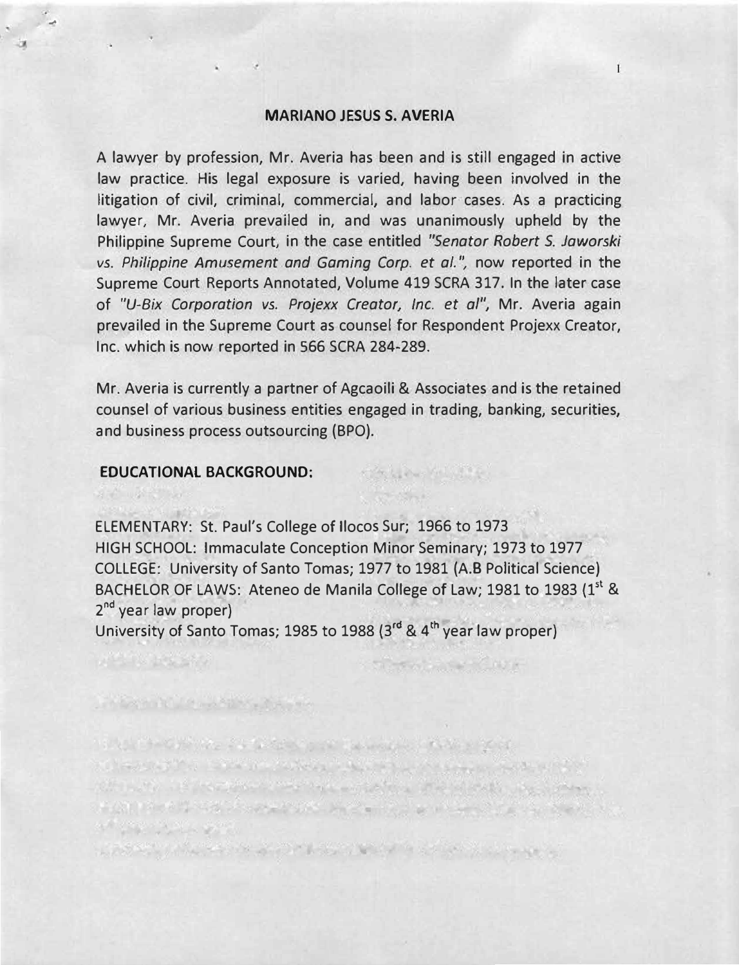#### **MARIANO JESUS S. AVERIA**

A lawyer by profession, Mr. Averia has been and is still engaged in active law practice. His legal exposure is varied, having been involved in the litigation of civil, criminal, commercial, and labor cases. As a practicing lawyer, Mr. Averia prevailed in, and was unanimously upheld by the Philippine Supreme Court, in the case entitled *"Senator Robert S. Jaworski vs. Philippine Amusement and Gaming Corp. et al.", now reported in the* Supreme Court Reports Annotated, Volume 419 SCRA 317. In the later case of *"U-Bix Corporation vs. Projexx Creator, Inc. et al",* Mr. Averia again prevailed in the Supreme Court as counsel for Respondent Projexx Creator, Inc. which is now reported in 566 SCRA 284-289.

Mr. Averia is currently a partner of Agcaoili & Associates and is the retained counsel of various business entities engaged in trading, banking, securities, and business process outsourcing (BPO).

The Library of Library

the state of the state of the state of

### **EDUCATIONAL BACKGROUND:**

The first and the state of the state of

**ALL DESCRIPTION** 

...

ELEMENTARY: St. Paul's College of llocos Sur; 1966 to 1973 HIGH SCHOOL: Immaculate Conception Minor Seminary; 1973 to 1977 COLLEGE: University of Santo Tomas; 1977 to 1981 (A.B Political Science) BACHELOR OF LAWS: Ateneo de Manila College of Law; 1981 to 1983 (1<sup>st</sup> & 2<sup>nd</sup> year law proper)

University of Santo Tomas; 1985 to 1988 (3**rd** & 4 **th** year law proper)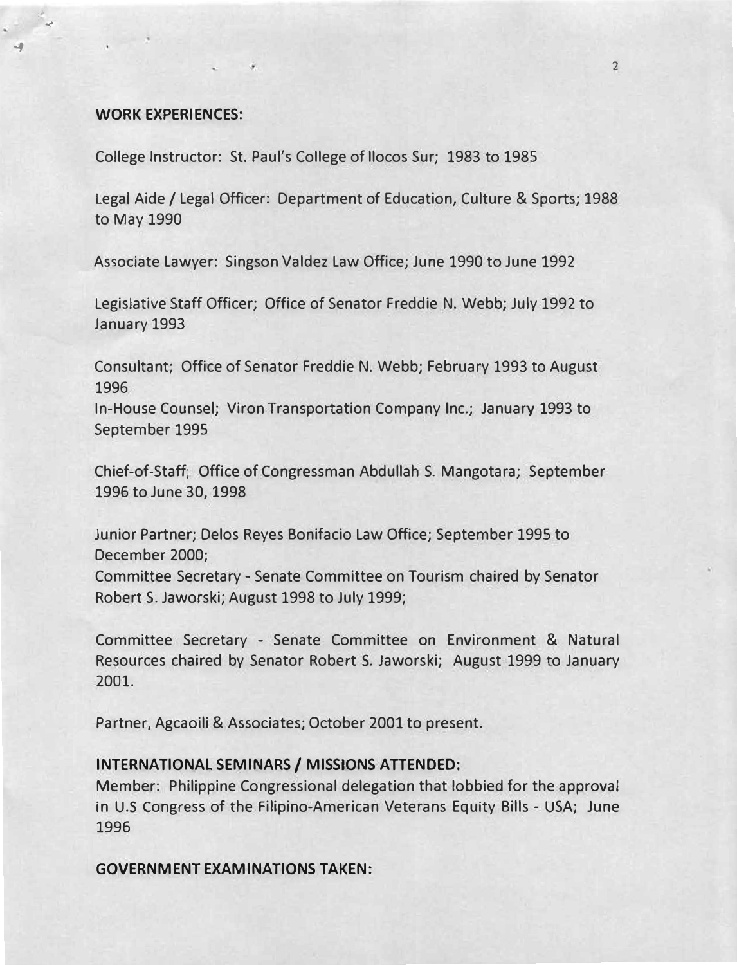#### **WORK EXPERIENCES:**

➔

,  $\mathcal{L}$ 

College Instructor: St. Paul's College of llocos Sur; 1983 to 1985

Legal Aide/ Legal Officer: Department of Education, Culture & Sports; 1988 to May 1990

Associate Lawyer: Singson Valdez Law Office; June 1990 to June 1992

Legislative Staff Officer; Office of Senator Freddie N. Webb; July 1992 to January 1993

Consultant; Office of Senator Freddie N. Webb; February 1993 to August 1996

In-House Counsel; Viron Transportation Company Inc.; January 1993 to September 1995

Chief-of-Staff; Office of Congressman Abdullah S. Mangotara; September 1996 to June 30, 1998

Junior Partner; Delos Reyes Bonifacio Law Office; September 1995 to December 2000;

Committee Secretary - Senate Committee on Tourism chaired by Senator Robert S. Jaworski; August 1998 to July 1999;

Committee Secretary - Senate Committee on Environment & Natural Resources chaired by Senator Robert \$. Jaworski; August 1999 to January 2001.

Partner, Agcaoili & Associates; October 2001 to present.

## **INTERNATIONAL SEMINARS/ MISSIONS ATTENDED:**

Member: Philippine Congressional delegation that lobbied for the approval in U.S Congress of the Filipino-American Veterans Equity Bills - USA; June 1996

**GOVERNMENT EXAMINATIONS TAKEN:**